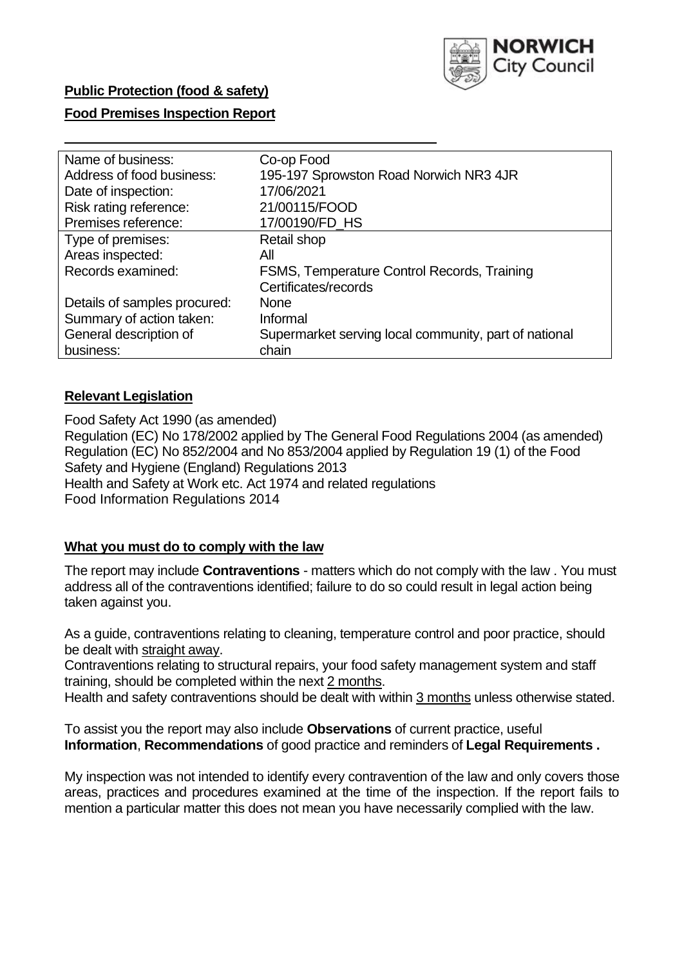

### **Public Protection (food & safety)**

#### **Food Premises Inspection Report**

| Name of business:            | Co-op Food                                            |
|------------------------------|-------------------------------------------------------|
| Address of food business:    | 195-197 Sprowston Road Norwich NR3 4JR                |
| Date of inspection:          | 17/06/2021                                            |
| Risk rating reference:       | 21/00115/FOOD                                         |
| Premises reference:          | 17/00190/FD HS                                        |
| Type of premises:            | Retail shop                                           |
| Areas inspected:             | All                                                   |
| Records examined:            | FSMS, Temperature Control Records, Training           |
|                              | Certificates/records                                  |
| Details of samples procured: | <b>None</b>                                           |
| Summary of action taken:     | Informal                                              |
| General description of       | Supermarket serving local community, part of national |
| business:                    | chain                                                 |

#### **Relevant Legislation**

 Food Safety Act 1990 (as amended) Regulation (EC) No 178/2002 applied by The General Food Regulations 2004 (as amended) Regulation (EC) No 852/2004 and No 853/2004 applied by Regulation 19 (1) of the Food Safety and Hygiene (England) Regulations 2013 Health and Safety at Work etc. Act 1974 and related regulations Food Information Regulations 2014

#### **What you must do to comply with the law**

 The report may include **Contraventions** - matters which do not comply with the law . You must address all of the contraventions identified; failure to do so could result in legal action being taken against you.

 As a guide, contraventions relating to cleaning, temperature control and poor practice, should be dealt with straight away.

 Contraventions relating to structural repairs, your food safety management system and staff training, should be completed within the next 2 months.

Health and safety contraventions should be dealt with within 3 months unless otherwise stated.

 To assist you the report may also include **Observations** of current practice, useful **Information**, **Recommendations** of good practice and reminders of **Legal Requirements .** 

 My inspection was not intended to identify every contravention of the law and only covers those areas, practices and procedures examined at the time of the inspection. If the report fails to mention a particular matter this does not mean you have necessarily complied with the law.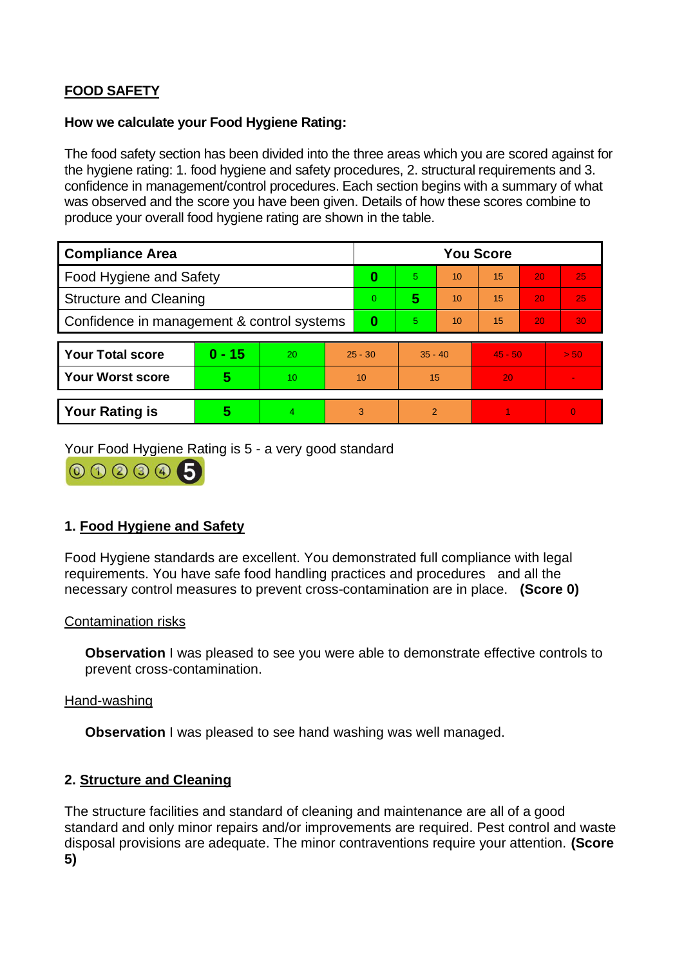# **FOOD SAFETY**

#### **How we calculate your Food Hygiene Rating:**

 The food safety section has been divided into the three areas which you are scored against for the hygiene rating: 1. food hygiene and safety procedures, 2. structural requirements and 3. confidence in management/control procedures. Each section begins with a summary of what was observed and the score you have been given. Details of how these scores combine to produce your overall food hygiene rating are shown in the table.

| <b>Compliance Area</b>                     |          |                |                | <b>You Score</b> |                |    |           |    |                |  |  |
|--------------------------------------------|----------|----------------|----------------|------------------|----------------|----|-----------|----|----------------|--|--|
| <b>Food Hygiene and Safety</b>             |          |                |                | 0                | 5.             | 10 | 15        | 20 | 25             |  |  |
| <b>Structure and Cleaning</b>              |          |                | $\overline{0}$ | 5                | 10             | 15 | 20        | 25 |                |  |  |
| Confidence in management & control systems |          |                | $\bf{0}$       | 5                | 10             | 15 | 20        | 30 |                |  |  |
|                                            |          |                |                |                  |                |    |           |    |                |  |  |
| <b>Your Total score</b>                    | $0 - 15$ | 20             | $25 - 30$      |                  | $35 - 40$      |    | $45 - 50$ |    | > 50           |  |  |
| <b>Your Worst score</b>                    | 5        | 10             | 10             |                  | 15             |    | 20        |    |                |  |  |
|                                            |          |                |                |                  |                |    |           |    |                |  |  |
| <b>Your Rating is</b>                      | 5        | $\overline{4}$ | 3              |                  | $\overline{2}$ |    |           |    | $\overline{0}$ |  |  |

Your Food Hygiene Rating is 5 - a very good standard



# **1. Food Hygiene and Safety**

 requirements. You have safe food handling practices and procedures and all the Food Hygiene standards are excellent. You demonstrated full compliance with legal necessary control measures to prevent cross-contamination are in place. **(Score 0)** 

#### Contamination risks

**Observation** I was pleased to see you were able to demonstrate effective controls to prevent cross-contamination.

#### Hand-washing

**Observation** I was pleased to see hand washing was well managed.

# **2. Structure and Cleaning**

The structure facilities and standard of cleaning and maintenance are all of a good standard and only minor repairs and/or improvements are required. Pest control and waste disposal provisions are adequate. The minor contraventions require your attention. **(Score 5)**